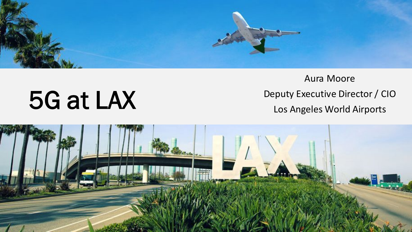

# 5G at LAX

Aura Moore Deputy Executive Director / CIO Los Angeles World Airports

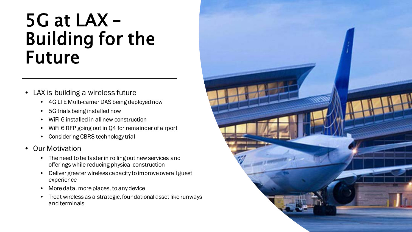#### 5G at LAX – Building for the Future

- LAX is building a wireless future
	- 4G LTE Multi-carrier DAS being deployed now
	- 5G trials being installed now
	- WiFi 6 installed in all new construction
	- WiFi 6 RFP going out in Q4 for remainder of airport
	- Considering CBRS technology trial

#### • Our Motivation

- The need to be faster in rolling out new services and offerings while reducing physical construction
- Deliver greater wireless capacity to improve overall guest experience
- More data, more places, to any device
- Treat wireless as a strategic, foundational asset like runways and terminals

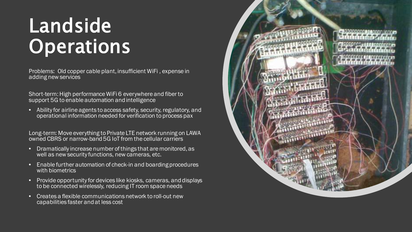### Landside **Operations**

Problems: Old copper cable plant, insufficient WiFi , expense in adding new services

Short-term: High performance WiFi 6 everywhere and fiber to support 5G to enable automation and intelligence

• Ability for airline agents to access safety, security, regulatory, and operational information needed for verification to process pax

Long-term: Move everything to Private LTE network running on LAWA owned CBRS or narrow-band 5G IoT from the cellular carriers

- Dramatically increase number of things that are monitored, as well as new security functions, new cameras, etc.
- Enable further automation of check-in and boarding procedures with biometrics
- Provide opportunity for devices like kiosks, cameras, and displays to be connected wirelessly, reducing IT room space needs
- Creates a flexible communications network to roll-out new capabilities faster and at less cost

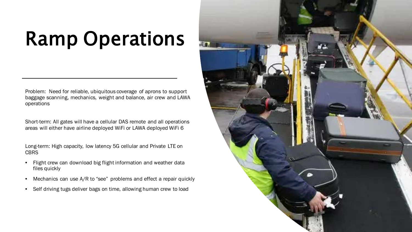## Ramp Operations

Problem: Need for reliable, ubiquitous coverage of aprons to support baggage scanning, mechanics, weight and balance, air crew and LAWA operations

Short-term: All gates will have a cellular DAS remote and all operations areas will either have airline deployed WiFi or LAWA deployed WiFi 6

Long-term: High capacity, low latency 5G cellular and Private LTE on **CBRS** 

- Flight crew can download big flight information and weather data files quickly
- Mechanics can use A/R to "see" problems and effect a repair quickly
- Self driving tugs deliver bags on time, allowing human crew to load

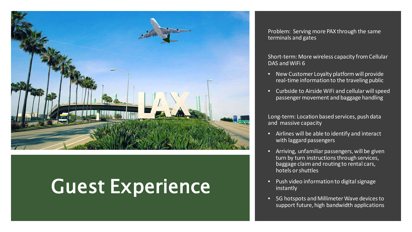

### Guest Experience

Problem: Serving more PAX through the same terminals and gates

Short-term: More wireless capacity from Cellular DAS and WiFi 6

- New Customer Loyalty platform will provide real-time information to the traveling public
- Curbside to Airside WiFi and cellular will speed passenger movement and baggage handling

Long-term: Location based services, push data and massive capacity

- Airlines will be able to identify and interact with laggard passengers
- Arriving, unfamiliar passengers, will be given turn by turn instructions through services, baggage claim and routing to rental cars, hotels or shuttles
- Push video information to digital signage instantly
- 5G hotspots and Millimeter Wave devices to support future, high bandwidth applications